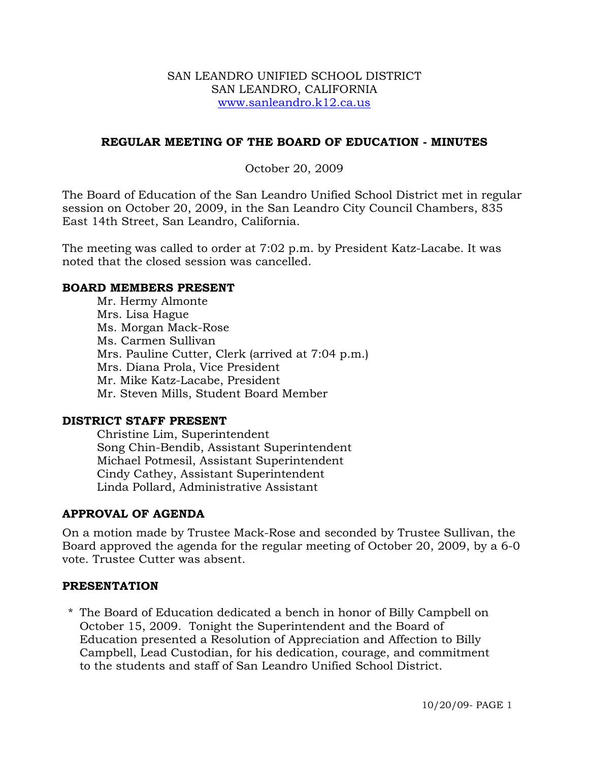### SAN LEANDRO UNIFIED SCHOOL DISTRICT SAN LEANDRO, CALIFORNIA www.sanleandro.k12.ca.us

### **REGULAR MEETING OF THE BOARD OF EDUCATION - MINUTES**

### October 20, 2009

The Board of Education of the San Leandro Unified School District met in regular session on October 20, 2009, in the San Leandro City Council Chambers, 835 East 14th Street, San Leandro, California.

The meeting was called to order at 7:02 p.m. by President Katz-Lacabe. It was noted that the closed session was cancelled.

### **BOARD MEMBERS PRESENT**

Mr. Hermy Almonte Mrs. Lisa Hague Ms. Morgan Mack-Rose Ms. Carmen Sullivan Mrs. Pauline Cutter, Clerk (arrived at 7:04 p.m.) Mrs. Diana Prola, Vice President Mr. Mike Katz-Lacabe, President Mr. Steven Mills, Student Board Member

### **DISTRICT STAFF PRESENT**

Christine Lim, Superintendent Song Chin-Bendib, Assistant Superintendent Michael Potmesil, Assistant Superintendent Cindy Cathey, Assistant Superintendent Linda Pollard, Administrative Assistant

### **APPROVAL OF AGENDA**

On a motion made by Trustee Mack-Rose and seconded by Trustee Sullivan, the Board approved the agenda for the regular meeting of October 20, 2009, by a 6-0 vote. Trustee Cutter was absent.

### **PRESENTATION**

\* The Board of Education dedicated a bench in honor of Billy Campbell on October 15, 2009. Tonight the Superintendent and the Board of Education presented a Resolution of Appreciation and Affection to Billy Campbell, Lead Custodian, for his dedication, courage, and commitment to the students and staff of San Leandro Unified School District.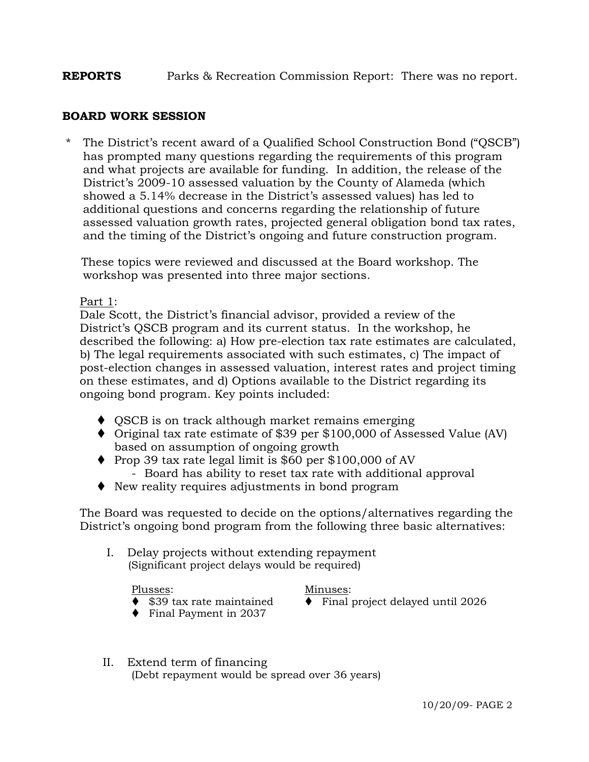# **REPORTS** Parks & Recreation Commission Report: There was no report.

### **BOARD WORK SESSION**

The District's recent award of a Qualified School Construction Bond ("QSCB") has prompted many questions regarding the requirements of this program and what projects are available for funding. In addition, the release of the District's 2009-10 assessed valuation by the County of Alameda (which showed a 5.14% decrease in the District's assessed values) has led to additional questions and concerns regarding the relationship of future assessed valuation growth rates, projected general obligation bond tax rates, and the timing of the District's ongoing and future construction program.

 These topics were reviewed and discussed at the Board workshop. The workshop was presented into three major sections.

### Part 1:

 Dale Scott, the District's financial advisor, provided a review of the District's QSCB program and its current status. In the workshop, he described the following: a) How pre-election tax rate estimates are calculated, b) The legal requirements associated with such estimates, c) The impact of post-election changes in assessed valuation, interest rates and project timing on these estimates, and d) Options available to the District regarding its ongoing bond program. Key points included:

- $\triangle$  QSCB is on track although market remains emerging
- Original tax rate estimate of \$39 per \$100,000 of Assessed Value (AV) based on assumption of ongoing growth
- $\blacklozenge$  Prop 39 tax rate legal limit is \$60 per \$100,000 of AV - Board has ability to reset tax rate with additional approval
- New reality requires adjustments in bond program

 The Board was requested to decide on the options/alternatives regarding the District's ongoing bond program from the following three basic alternatives:

I. Delay projects without extending repayment (Significant project delays would be required)

#### Plusses: Minuses:

- \$39 tax rate maintained Final project delayed until 2026
- Final Payment in 2037
- II. Extend term of financing (Debt repayment would be spread over 36 years)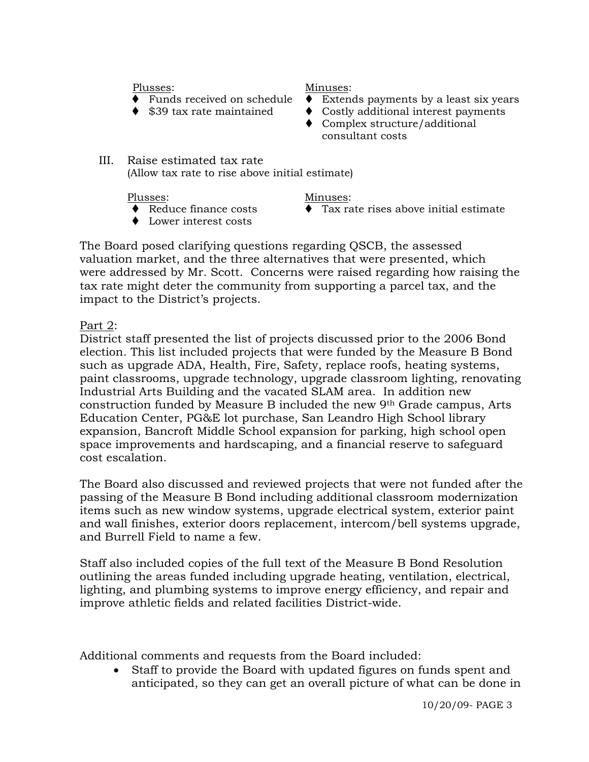- 
- 

Plusses: Minuses:

- Funds received on schedule  $\bullet$  Extends payments by a least six years
- $\triangleq$  \$39 tax rate maintained  $\triangleq$  Costly additional interest payments
	- ♦ Complex structure/additional consultant costs
- III. Raise estimated tax rate (Allow tax rate to rise above initial estimate)

- 
- Lower interest costs

### Plusses: Minuses:

 $\bullet$  Reduce finance costs  $\bullet$  Tax rate rises above initial estimate

 The Board posed clarifying questions regarding QSCB, the assessed valuation market, and the three alternatives that were presented, which were addressed by Mr. Scott. Concerns were raised regarding how raising the tax rate might deter the community from supporting a parcel tax, and the impact to the District's projects.

Part 2:

 District staff presented the list of projects discussed prior to the 2006 Bond election. This list included projects that were funded by the Measure B Bond such as upgrade ADA, Health, Fire, Safety, replace roofs, heating systems, paint classrooms, upgrade technology, upgrade classroom lighting, renovating Industrial Arts Building and the vacated SLAM area. In addition new construction funded by Measure B included the new 9th Grade campus, Arts Education Center, PG&E lot purchase, San Leandro High School library expansion, Bancroft Middle School expansion for parking, high school open space improvements and hardscaping, and a financial reserve to safeguard cost escalation.

 The Board also discussed and reviewed projects that were not funded after the passing of the Measure B Bond including additional classroom modernization items such as new window systems, upgrade electrical system, exterior paint and wall finishes, exterior doors replacement, intercom/bell systems upgrade, and Burrell Field to name a few.

 Staff also included copies of the full text of the Measure B Bond Resolution outlining the areas funded including upgrade heating, ventilation, electrical, lighting, and plumbing systems to improve energy efficiency, and repair and improve athletic fields and related facilities District-wide.

Additional comments and requests from the Board included:

• Staff to provide the Board with updated figures on funds spent and anticipated, so they can get an overall picture of what can be done in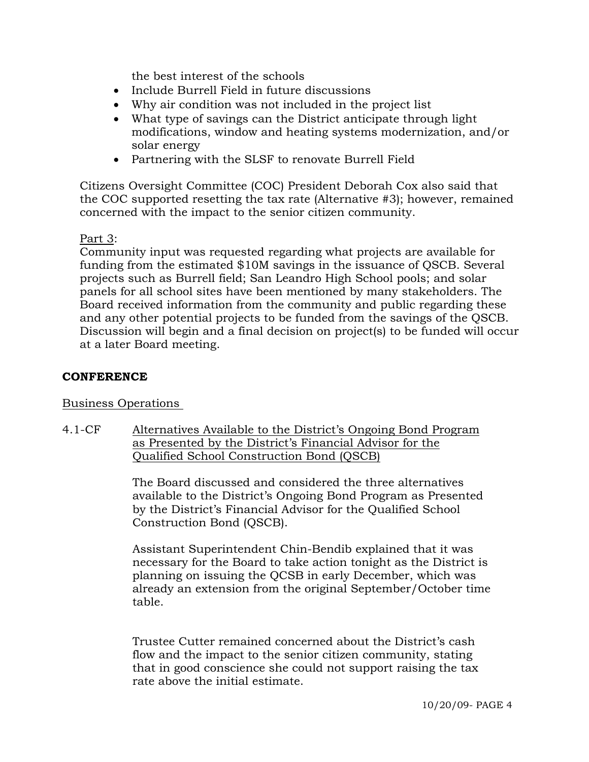the best interest of the schools

- Include Burrell Field in future discussions
- Why air condition was not included in the project list
- What type of savings can the District anticipate through light modifications, window and heating systems modernization, and/or solar energy
- Partnering with the SLSF to renovate Burrell Field

 Citizens Oversight Committee (COC) President Deborah Cox also said that the COC supported resetting the tax rate (Alternative #3); however, remained concerned with the impact to the senior citizen community.

# Part 3:

 Community input was requested regarding what projects are available for funding from the estimated \$10M savings in the issuance of QSCB. Several projects such as Burrell field; San Leandro High School pools; and solar panels for all school sites have been mentioned by many stakeholders. The Board received information from the community and public regarding these and any other potential projects to be funded from the savings of the QSCB. Discussion will begin and a final decision on project(s) to be funded will occur at a later Board meeting.

# **CONFERENCE**

Business Operations

4.1-CF Alternatives Available to the District's Ongoing Bond Program as Presented by the District's Financial Advisor for the Qualified School Construction Bond (QSCB)

> The Board discussed and considered the three alternatives available to the District's Ongoing Bond Program as Presented by the District's Financial Advisor for the Qualified School Construction Bond (QSCB).

Assistant Superintendent Chin-Bendib explained that it was necessary for the Board to take action tonight as the District is planning on issuing the QCSB in early December, which was already an extension from the original September/October time table.

Trustee Cutter remained concerned about the District's cash flow and the impact to the senior citizen community, stating that in good conscience she could not support raising the tax rate above the initial estimate.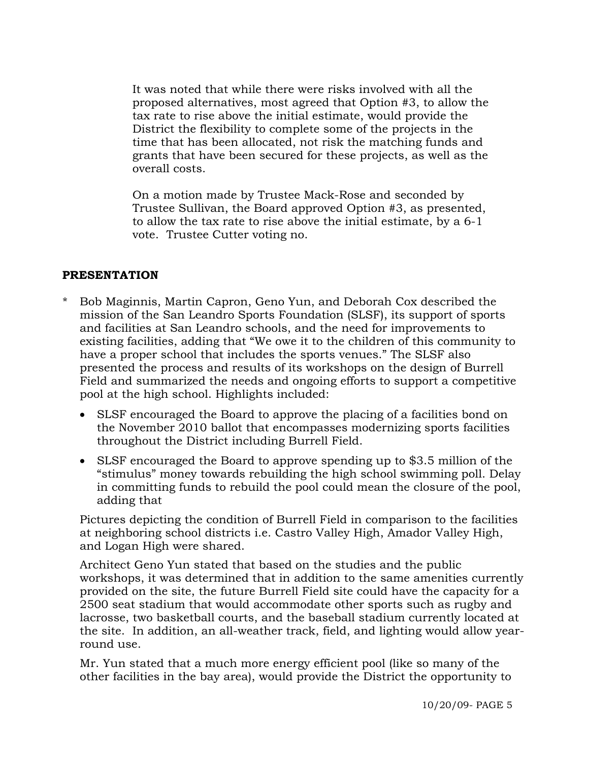It was noted that while there were risks involved with all the proposed alternatives, most agreed that Option #3, to allow the tax rate to rise above the initial estimate, would provide the District the flexibility to complete some of the projects in the time that has been allocated, not risk the matching funds and grants that have been secured for these projects, as well as the overall costs.

On a motion made by Trustee Mack-Rose and seconded by Trustee Sullivan, the Board approved Option #3, as presented, to allow the tax rate to rise above the initial estimate, by a 6-1 vote. Trustee Cutter voting no.

# **PRESENTATION**

- \* Bob Maginnis, Martin Capron, Geno Yun, and Deborah Cox described the mission of the San Leandro Sports Foundation (SLSF), its support of sports and facilities at San Leandro schools, and the need for improvements to existing facilities, adding that "We owe it to the children of this community to have a proper school that includes the sports venues." The SLSF also presented the process and results of its workshops on the design of Burrell Field and summarized the needs and ongoing efforts to support a competitive pool at the high school. Highlights included:
	- SLSF encouraged the Board to approve the placing of a facilities bond on the November 2010 ballot that encompasses modernizing sports facilities throughout the District including Burrell Field.
	- SLSF encouraged the Board to approve spending up to \$3.5 million of the "stimulus" money towards rebuilding the high school swimming poll. Delay in committing funds to rebuild the pool could mean the closure of the pool, adding that

 Pictures depicting the condition of Burrell Field in comparison to the facilities at neighboring school districts i.e. Castro Valley High, Amador Valley High, and Logan High were shared.

 Architect Geno Yun stated that based on the studies and the public workshops, it was determined that in addition to the same amenities currently provided on the site, the future Burrell Field site could have the capacity for a 2500 seat stadium that would accommodate other sports such as rugby and lacrosse, two basketball courts, and the baseball stadium currently located at the site. In addition, an all-weather track, field, and lighting would allow year round use.

 Mr. Yun stated that a much more energy efficient pool (like so many of the other facilities in the bay area), would provide the District the opportunity to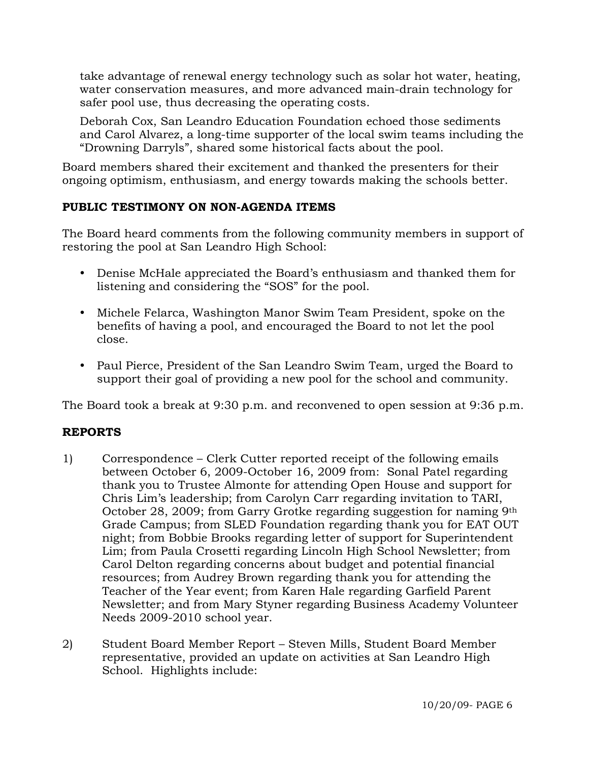take advantage of renewal energy technology such as solar hot water, heating, water conservation measures, and more advanced main-drain technology for safer pool use, thus decreasing the operating costs.

 Deborah Cox, San Leandro Education Foundation echoed those sediments and Carol Alvarez, a long-time supporter of the local swim teams including the "Drowning Darryls", shared some historical facts about the pool.

Board members shared their excitement and thanked the presenters for their ongoing optimism, enthusiasm, and energy towards making the schools better.

# **PUBLIC TESTIMONY ON NON-AGENDA ITEMS**

The Board heard comments from the following community members in support of restoring the pool at San Leandro High School:

- Denise McHale appreciated the Board's enthusiasm and thanked them for listening and considering the "SOS" for the pool.
- y Michele Felarca, Washington Manor Swim Team President, spoke on the benefits of having a pool, and encouraged the Board to not let the pool close.
- Paul Pierce, President of the San Leandro Swim Team, urged the Board to support their goal of providing a new pool for the school and community.

The Board took a break at 9:30 p.m. and reconvened to open session at 9:36 p.m.

# **REPORTS**

- 1) Correspondence Clerk Cutter reported receipt of the following emails between October 6, 2009-October 16, 2009 from: Sonal Patel regarding thank you to Trustee Almonte for attending Open House and support for Chris Lim's leadership; from Carolyn Carr regarding invitation to TARI, October 28, 2009; from Garry Grotke regarding suggestion for naming 9th Grade Campus; from SLED Foundation regarding thank you for EAT OUT night; from Bobbie Brooks regarding letter of support for Superintendent Lim; from Paula Crosetti regarding Lincoln High School Newsletter; from Carol Delton regarding concerns about budget and potential financial resources; from Audrey Brown regarding thank you for attending the Teacher of the Year event; from Karen Hale regarding Garfield Parent Newsletter; and from Mary Styner regarding Business Academy Volunteer Needs 2009-2010 school year.
- 2) Student Board Member Report Steven Mills, Student Board Member representative, provided an update on activities at San Leandro High School. Highlights include: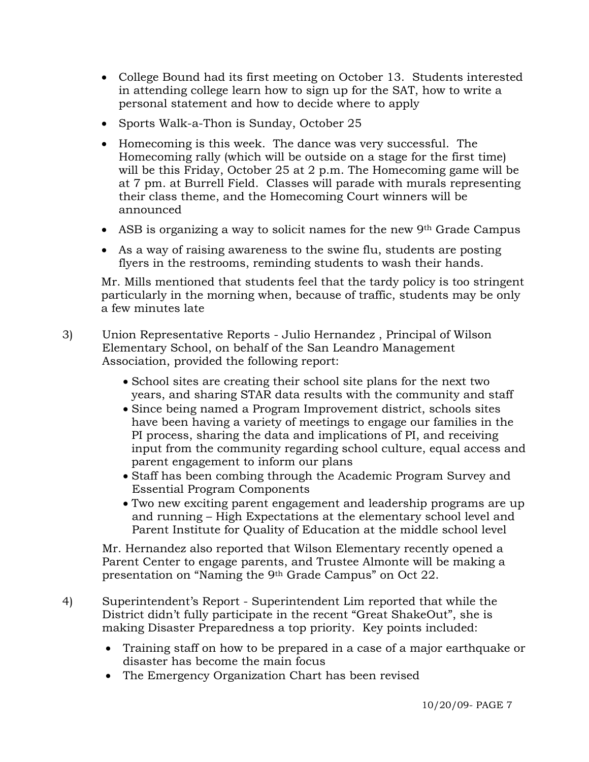- College Bound had its first meeting on October 13. Students interested in attending college learn how to sign up for the SAT, how to write a personal statement and how to decide where to apply
- Sports Walk-a-Thon is Sunday, October 25
- Homecoming is this week. The dance was very successful. The Homecoming rally (which will be outside on a stage for the first time) will be this Friday, October 25 at 2 p.m. The Homecoming game will be at 7 pm. at Burrell Field. Classes will parade with murals representing their class theme, and the Homecoming Court winners will be announced
- ASB is organizing a way to solicit names for the new 9<sup>th</sup> Grade Campus
- As a way of raising awareness to the swine flu, students are posting flyers in the restrooms, reminding students to wash their hands.

Mr. Mills mentioned that students feel that the tardy policy is too stringent particularly in the morning when, because of traffic, students may be only a few minutes late

- 3) Union Representative Reports Julio Hernandez , Principal of Wilson Elementary School, on behalf of the San Leandro Management Association, provided the following report:
	- School sites are creating their school site plans for the next two years, and sharing STAR data results with the community and staff
	- Since being named a Program Improvement district, schools sites have been having a variety of meetings to engage our families in the PI process, sharing the data and implications of PI, and receiving input from the community regarding school culture, equal access and parent engagement to inform our plans
	- Staff has been combing through the Academic Program Survey and Essential Program Components
	- Two new exciting parent engagement and leadership programs are up and running – High Expectations at the elementary school level and Parent Institute for Quality of Education at the middle school level

Mr. Hernandez also reported that Wilson Elementary recently opened a Parent Center to engage parents, and Trustee Almonte will be making a presentation on "Naming the 9th Grade Campus" on Oct 22.

- 4) Superintendent's Report Superintendent Lim reported that while the District didn't fully participate in the recent "Great ShakeOut", she is making Disaster Preparedness a top priority. Key points included:
	- Training staff on how to be prepared in a case of a major earthquake or disaster has become the main focus
	- The Emergency Organization Chart has been revised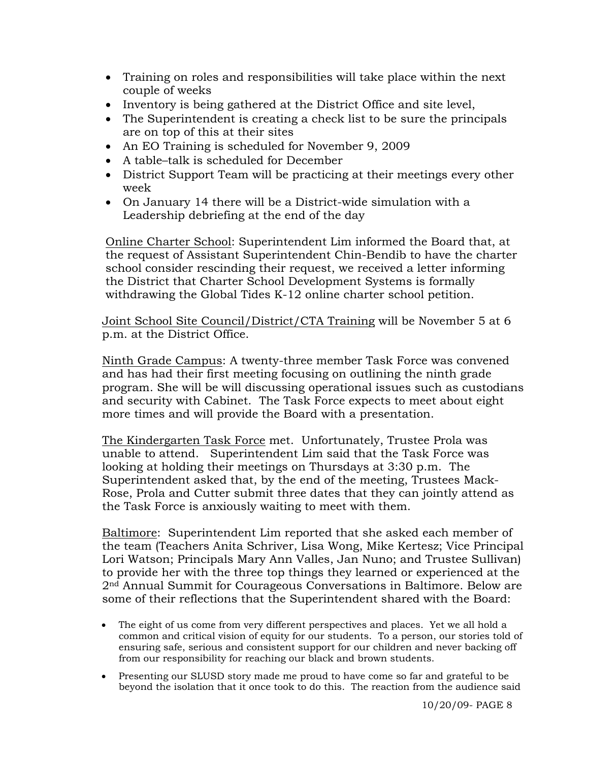- Training on roles and responsibilities will take place within the next couple of weeks
- Inventory is being gathered at the District Office and site level,
- The Superintendent is creating a check list to be sure the principals are on top of this at their sites
- An EO Training is scheduled for November 9, 2009
- A table–talk is scheduled for December
- District Support Team will be practicing at their meetings every other week
- On January 14 there will be a District-wide simulation with a Leadership debriefing at the end of the day

Online Charter School: Superintendent Lim informed the Board that, at the request of Assistant Superintendent Chin-Bendib to have the charter school consider rescinding their request, we received a letter informing the District that Charter School Development Systems is formally withdrawing the Global Tides K-12 online charter school petition.

Joint School Site Council/District/CTA Training will be November 5 at 6 p.m. at the District Office.

Ninth Grade Campus: A twenty-three member Task Force was convened and has had their first meeting focusing on outlining the ninth grade program. She will be will discussing operational issues such as custodians and security with Cabinet. The Task Force expects to meet about eight more times and will provide the Board with a presentation.

The Kindergarten Task Force met. Unfortunately, Trustee Prola was unable to attend. Superintendent Lim said that the Task Force was looking at holding their meetings on Thursdays at 3:30 p.m. The Superintendent asked that, by the end of the meeting, Trustees Mack-Rose, Prola and Cutter submit three dates that they can jointly attend as the Task Force is anxiously waiting to meet with them.

Baltimore: Superintendent Lim reported that she asked each member of the team (Teachers Anita Schriver, Lisa Wong, Mike Kertesz; Vice Principal Lori Watson; Principals Mary Ann Valles, Jan Nuno; and Trustee Sullivan) to provide her with the three top things they learned or experienced at the 2nd Annual Summit for Courageous Conversations in Baltimore. Below are some of their reflections that the Superintendent shared with the Board:

- The eight of us come from very different perspectives and places. Yet we all hold a common and critical vision of equity for our students. To a person, our stories told of ensuring safe, serious and consistent support for our children and never backing off from our responsibility for reaching our black and brown students.
- Presenting our SLUSD story made me proud to have come so far and grateful to be beyond the isolation that it once took to do this. The reaction from the audience said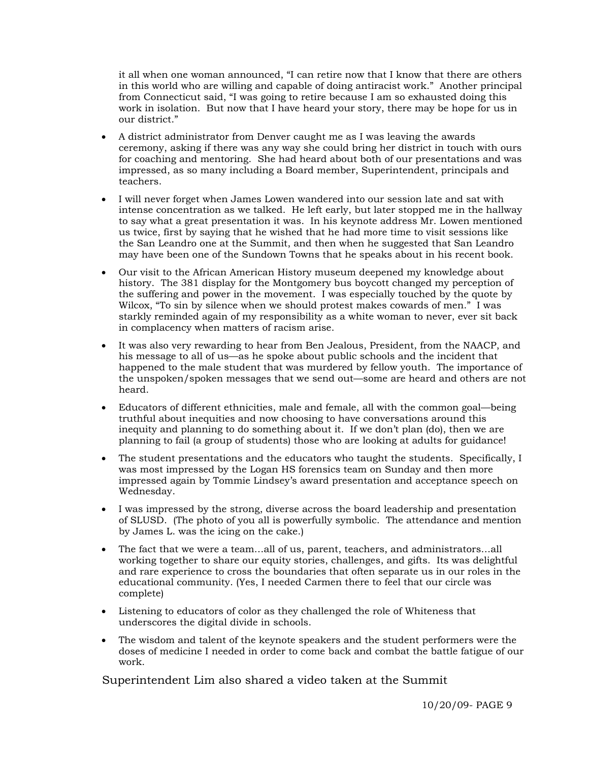it all when one woman announced, "I can retire now that I know that there are others in this world who are willing and capable of doing antiracist work." Another principal from Connecticut said, "I was going to retire because I am so exhausted doing this work in isolation. But now that I have heard your story, there may be hope for us in our district."

- A district administrator from Denver caught me as I was leaving the awards ceremony, asking if there was any way she could bring her district in touch with ours for coaching and mentoring. She had heard about both of our presentations and was impressed, as so many including a Board member, Superintendent, principals and teachers.
- I will never forget when James Lowen wandered into our session late and sat with intense concentration as we talked. He left early, but later stopped me in the hallway to say what a great presentation it was. In his keynote address Mr. Lowen mentioned us twice, first by saying that he wished that he had more time to visit sessions like the San Leandro one at the Summit, and then when he suggested that San Leandro may have been one of the Sundown Towns that he speaks about in his recent book.
- Our visit to the African American History museum deepened my knowledge about history. The 381 display for the Montgomery bus boycott changed my perception of the suffering and power in the movement. I was especially touched by the quote by Wilcox, "To sin by silence when we should protest makes cowards of men." I was starkly reminded again of my responsibility as a white woman to never, ever sit back in complacency when matters of racism arise.
- It was also very rewarding to hear from Ben Jealous, President, from the NAACP, and his message to all of us—as he spoke about public schools and the incident that happened to the male student that was murdered by fellow youth. The importance of the unspoken/spoken messages that we send out—some are heard and others are not heard.
- Educators of different ethnicities, male and female, all with the common goal—being truthful about inequities and now choosing to have conversations around this inequity and planning to do something about it. If we don't plan (do), then we are planning to fail (a group of students) those who are looking at adults for guidance!
- The student presentations and the educators who taught the students. Specifically, I was most impressed by the Logan HS forensics team on Sunday and then more impressed again by Tommie Lindsey's award presentation and acceptance speech on Wednesday.
- I was impressed by the strong, diverse across the board leadership and presentation of SLUSD. (The photo of you all is powerfully symbolic. The attendance and mention by James L. was the icing on the cake.)
- The fact that we were a team…all of us, parent, teachers, and administrators…all working together to share our equity stories, challenges, and gifts. Its was delightful and rare experience to cross the boundaries that often separate us in our roles in the educational community. (Yes, I needed Carmen there to feel that our circle was complete)
- Listening to educators of color as they challenged the role of Whiteness that underscores the digital divide in schools.
- The wisdom and talent of the keynote speakers and the student performers were the doses of medicine I needed in order to come back and combat the battle fatigue of our work.

Superintendent Lim also shared a video taken at the Summit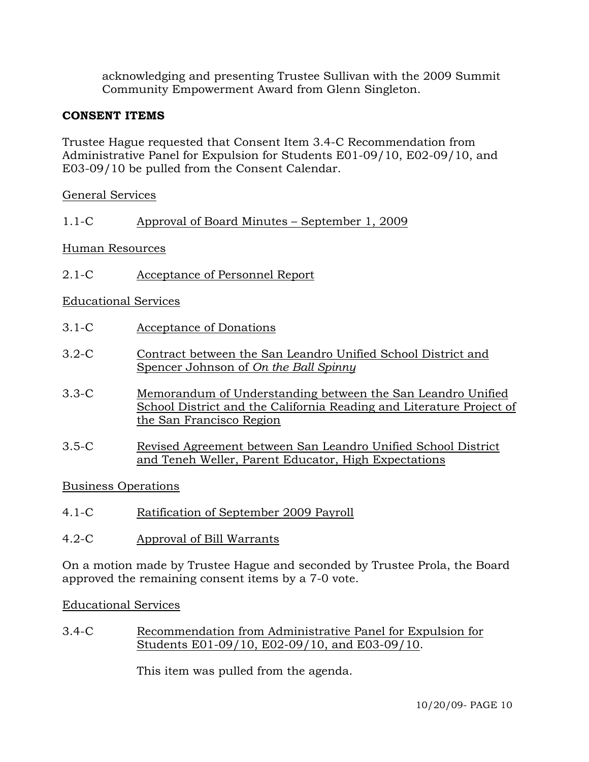acknowledging and presenting Trustee Sullivan with the 2009 Summit Community Empowerment Award from Glenn Singleton.

# **CONSENT ITEMS**

Trustee Hague requested that Consent Item 3.4-C Recommendation from Administrative Panel for Expulsion for Students E01-09/10, E02-09/10, and E03-09/10 be pulled from the Consent Calendar.

### General Services

### 1.1-C Approval of Board Minutes – September 1, 2009

### Human Resources

2.1-C Acceptance of Personnel Report

# Educational Services

- 3.1-C Acceptance of Donations
- 3.2-C Contract between the San Leandro Unified School District and Spencer Johnson of *On the Ball Spinny*
- 3.3-C Memorandum of Understanding between the San Leandro Unified School District and the California Reading and Literature Project of the San Francisco Region
- 3.5-C Revised Agreement between San Leandro Unified School District and Teneh Weller, Parent Educator, High Expectations

### Business Operations

- 4.1-C Ratification of September 2009 Payroll
- 4.2-C Approval of Bill Warrants

On a motion made by Trustee Hague and seconded by Trustee Prola, the Board approved the remaining consent items by a 7-0 vote.

### Educational Services

3.4-C Recommendation from Administrative Panel for Expulsion for Students E01-09/10, E02-09/10, and E03-09/10.

This item was pulled from the agenda.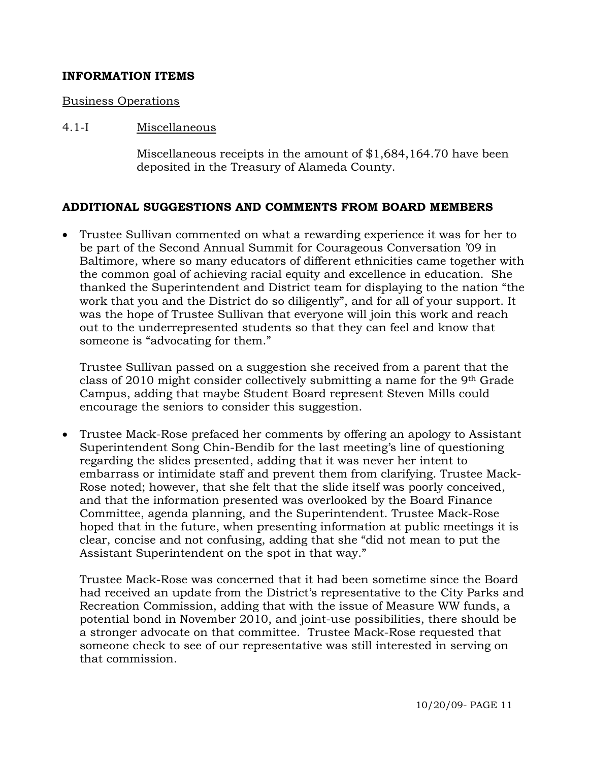### **INFORMATION ITEMS**

### Business Operations

### 4.1-I Miscellaneous

Miscellaneous receipts in the amount of \$1,684,164.70 have been deposited in the Treasury of Alameda County.

### **ADDITIONAL SUGGESTIONS AND COMMENTS FROM BOARD MEMBERS**

• Trustee Sullivan commented on what a rewarding experience it was for her to be part of the Second Annual Summit for Courageous Conversation '09 in Baltimore, where so many educators of different ethnicities came together with the common goal of achieving racial equity and excellence in education. She thanked the Superintendent and District team for displaying to the nation "the work that you and the District do so diligently", and for all of your support. It was the hope of Trustee Sullivan that everyone will join this work and reach out to the underrepresented students so that they can feel and know that someone is "advocating for them."

Trustee Sullivan passed on a suggestion she received from a parent that the class of 2010 might consider collectively submitting a name for the 9th Grade Campus, adding that maybe Student Board represent Steven Mills could encourage the seniors to consider this suggestion.

• Trustee Mack-Rose prefaced her comments by offering an apology to Assistant Superintendent Song Chin-Bendib for the last meeting's line of questioning regarding the slides presented, adding that it was never her intent to embarrass or intimidate staff and prevent them from clarifying. Trustee Mack-Rose noted; however, that she felt that the slide itself was poorly conceived, and that the information presented was overlooked by the Board Finance Committee, agenda planning, and the Superintendent. Trustee Mack-Rose hoped that in the future, when presenting information at public meetings it is clear, concise and not confusing, adding that she "did not mean to put the Assistant Superintendent on the spot in that way."

Trustee Mack-Rose was concerned that it had been sometime since the Board had received an update from the District's representative to the City Parks and Recreation Commission, adding that with the issue of Measure WW funds, a potential bond in November 2010, and joint-use possibilities, there should be a stronger advocate on that committee. Trustee Mack-Rose requested that someone check to see of our representative was still interested in serving on that commission.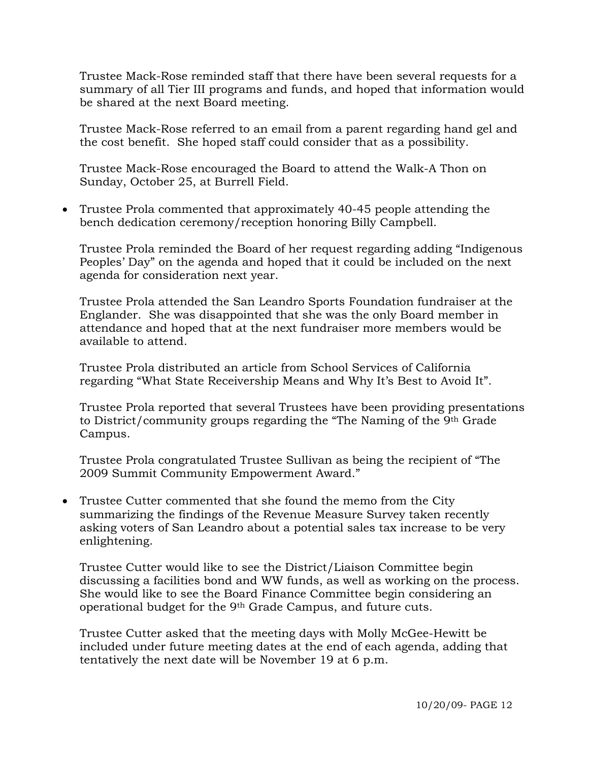Trustee Mack-Rose reminded staff that there have been several requests for a summary of all Tier III programs and funds, and hoped that information would be shared at the next Board meeting.

Trustee Mack-Rose referred to an email from a parent regarding hand gel and the cost benefit. She hoped staff could consider that as a possibility.

Trustee Mack-Rose encouraged the Board to attend the Walk-A Thon on Sunday, October 25, at Burrell Field.

• Trustee Prola commented that approximately 40-45 people attending the bench dedication ceremony/reception honoring Billy Campbell.

Trustee Prola reminded the Board of her request regarding adding "Indigenous Peoples' Day" on the agenda and hoped that it could be included on the next agenda for consideration next year.

Trustee Prola attended the San Leandro Sports Foundation fundraiser at the Englander. She was disappointed that she was the only Board member in attendance and hoped that at the next fundraiser more members would be available to attend.

Trustee Prola distributed an article from School Services of California regarding "What State Receivership Means and Why It's Best to Avoid It".

Trustee Prola reported that several Trustees have been providing presentations to District/community groups regarding the "The Naming of the 9th Grade Campus.

Trustee Prola congratulated Trustee Sullivan as being the recipient of "The 2009 Summit Community Empowerment Award."

• Trustee Cutter commented that she found the memo from the City summarizing the findings of the Revenue Measure Survey taken recently asking voters of San Leandro about a potential sales tax increase to be very enlightening.

Trustee Cutter would like to see the District/Liaison Committee begin discussing a facilities bond and WW funds, as well as working on the process. She would like to see the Board Finance Committee begin considering an operational budget for the 9th Grade Campus, and future cuts.

Trustee Cutter asked that the meeting days with Molly McGee-Hewitt be included under future meeting dates at the end of each agenda, adding that tentatively the next date will be November 19 at 6 p.m.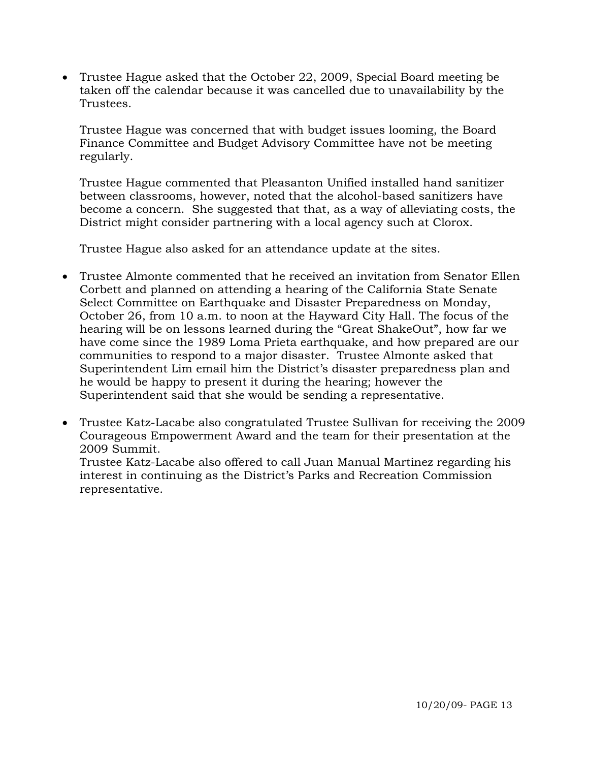• Trustee Hague asked that the October 22, 2009, Special Board meeting be taken off the calendar because it was cancelled due to unavailability by the Trustees.

Trustee Hague was concerned that with budget issues looming, the Board Finance Committee and Budget Advisory Committee have not be meeting regularly.

Trustee Hague commented that Pleasanton Unified installed hand sanitizer between classrooms, however, noted that the alcohol-based sanitizers have become a concern. She suggested that that, as a way of alleviating costs, the District might consider partnering with a local agency such at Clorox.

Trustee Hague also asked for an attendance update at the sites.

- Trustee Almonte commented that he received an invitation from Senator Ellen Corbett and planned on attending a hearing of the California State Senate Select Committee on Earthquake and Disaster Preparedness on Monday, October 26, from 10 a.m. to noon at the Hayward City Hall. The focus of the hearing will be on lessons learned during the "Great ShakeOut", how far we have come since the 1989 Loma Prieta earthquake, and how prepared are our communities to respond to a major disaster. Trustee Almonte asked that Superintendent Lim email him the District's disaster preparedness plan and he would be happy to present it during the hearing; however the Superintendent said that she would be sending a representative.
- Trustee Katz-Lacabe also congratulated Trustee Sullivan for receiving the 2009 Courageous Empowerment Award and the team for their presentation at the 2009 Summit.

Trustee Katz-Lacabe also offered to call Juan Manual Martinez regarding his interest in continuing as the District's Parks and Recreation Commission representative.